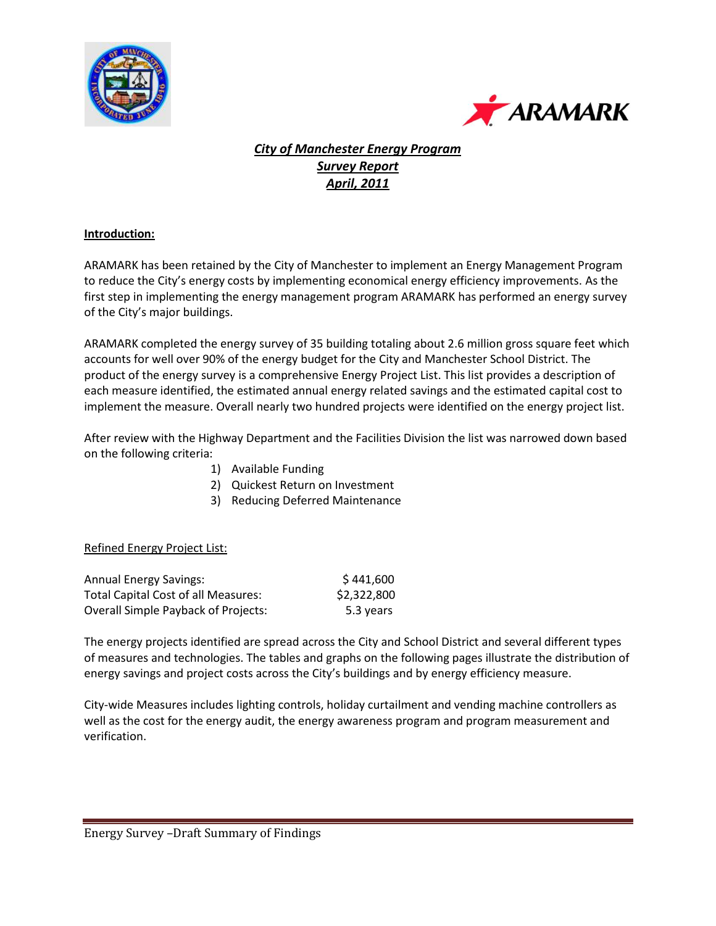



## *City of Manchester Energy Program Survey Report April, 2011*

### **Introduction:**

ARAMARK has been retained by the City of Manchester to implement an Energy Management Program to reduce the City's energy costs by implementing economical energy efficiency improvements. As the first step in implementing the energy management program ARAMARK has performed an energy survey of the City's major buildings.

ARAMARK completed the energy survey of 35 building totaling about 2.6 million gross square feet which accounts for well over 90% of the energy budget for the City and Manchester School District. The product of the energy survey is a comprehensive Energy Project List. This list provides a description of each measure identified, the estimated annual energy related savings and the estimated capital cost to implement the measure. Overall nearly two hundred projects were identified on the energy project list.

After review with the Highway Department and the Facilities Division the list was narrowed down based on the following criteria:

- 1) Available Funding
- 2) Quickest Return on Investment
- 3) Reducing Deferred Maintenance

### Refined Energy Project List:

| <b>Annual Energy Savings:</b>              | \$441,600   |
|--------------------------------------------|-------------|
| <b>Total Capital Cost of all Measures:</b> | \$2,322,800 |
| <b>Overall Simple Payback of Projects:</b> | 5.3 years   |

The energy projects identified are spread across the City and School District and several different types of measures and technologies. The tables and graphs on the following pages illustrate the distribution of energy savings and project costs across the City's buildings and by energy efficiency measure.

City-wide Measures includes lighting controls, holiday curtailment and vending machine controllers as well as the cost for the energy audit, the energy awareness program and program measurement and verification.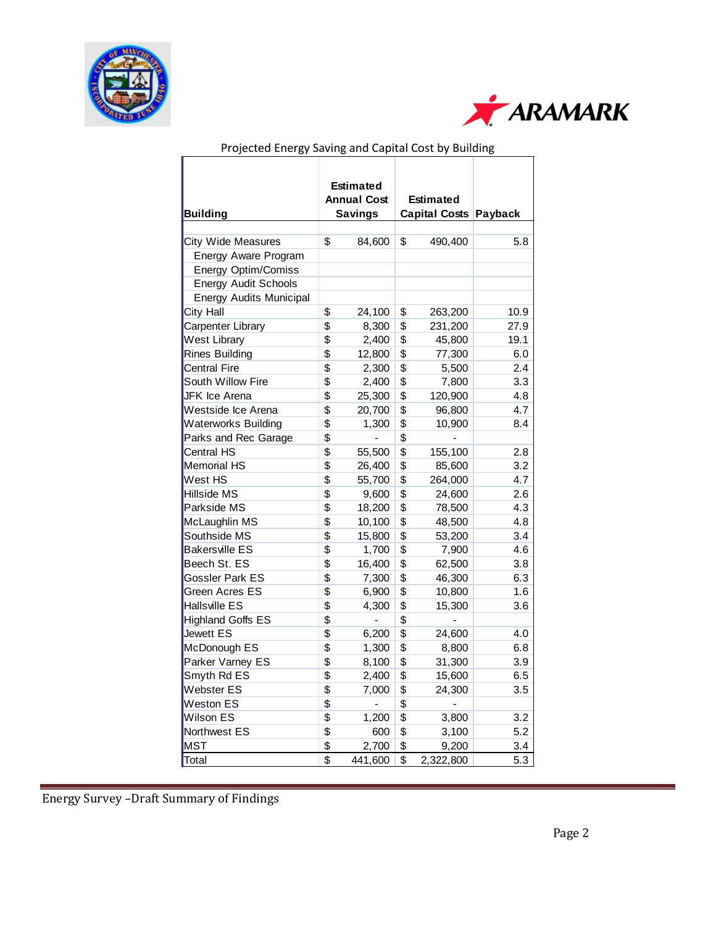



|                                |                           | <b>Estimated</b>         |                 |                       |      |  |  |  |
|--------------------------------|---------------------------|--------------------------|-----------------|-----------------------|------|--|--|--|
|                                |                           | <b>Annual Cost</b>       |                 | <b>Estimated</b>      |      |  |  |  |
| <b>Building</b>                |                           | <b>Savings</b>           |                 | Capital Costs Payback |      |  |  |  |
|                                |                           |                          |                 |                       |      |  |  |  |
| <b>City Wide Measures</b>      | \$                        | 84,600                   | \$              | 490,400               | 5.8  |  |  |  |
| Energy Aware Program           |                           |                          |                 |                       |      |  |  |  |
| Energy Optim/Comiss            |                           |                          |                 |                       |      |  |  |  |
| <b>Energy Audit Schools</b>    |                           |                          |                 |                       |      |  |  |  |
| <b>Energy Audits Municipal</b> |                           |                          |                 |                       |      |  |  |  |
| City Hall                      | \$                        | 24,100                   | \$              | 263,200               | 10.9 |  |  |  |
| Carpenter Library              | \$                        | 8,300                    | \$              | 231,200               | 27.9 |  |  |  |
| <b>West Library</b>            | \$                        | 2,400                    | \$              | 45,800                | 19.1 |  |  |  |
| <b>Rines Building</b>          | \$                        | 12,800                   | \$              | 77,300                | 6.0  |  |  |  |
| <b>Central Fire</b>            | \$                        | 2,300                    | \$              | 5,500                 | 2.4  |  |  |  |
| South Willow Fire              | \$                        | 2,400                    | \$              | 7,800                 | 3.3  |  |  |  |
| JFK Ice Arena                  | \$                        | 25,300                   | \$              | 120,900               | 4.8  |  |  |  |
| Westside Ice Arena             | \$                        | 20,700                   | \$              | 96,800                | 4.7  |  |  |  |
| Waterworks Building            | \$                        | 1,300                    | \$              | 10,900                | 8.4  |  |  |  |
| Parks and Rec Garage           | \$                        | $\overline{\phantom{0}}$ | \$              |                       |      |  |  |  |
| <b>Central HS</b>              | \$                        | 55,500                   | $\overline{\$}$ | 155,100               | 2.8  |  |  |  |
| <b>Memorial HS</b>             | \$                        | 26,400                   | \$              | 85,600                | 3.2  |  |  |  |
| West HS                        | \$                        | 55,700                   | \$              | 264,000               | 4.7  |  |  |  |
| Hillside MS                    | \$                        | 9,600                    | \$              | 24,600                | 2.6  |  |  |  |
| Parkside MS                    | $\overline{\mathfrak{s}}$ | 18,200                   | \$              | 78,500                | 4.3  |  |  |  |
| McLaughlin MS                  | \$                        | 10,100                   | \$              | 48,500                | 4.8  |  |  |  |
| Southside MS                   | \$                        | 15,800                   | \$              | 53,200                | 3.4  |  |  |  |
| <b>Bakersville ES</b>          | \$                        | 1,700                    | \$              | 7,900                 | 4.6  |  |  |  |
| Beech St. ES                   | \$                        | 16,400                   | \$              | 62,500                | 3.8  |  |  |  |
| Gossler Park ES                | \$                        | 7,300                    | \$              | 46,300                | 6.3  |  |  |  |
| Green Acres ES                 | \$                        | 6,900                    | \$              | 10,800                | 1.6  |  |  |  |
| Hallsville ES                  | \$                        | 4,300                    | \$              | 15,300                | 3.6  |  |  |  |
| <b>Highland Goffs ES</b>       | \$                        | $\overline{a}$           | \$              |                       |      |  |  |  |
| Jewett ES                      | \$                        | 6,200                    | \$              | 24,600                | 4.0  |  |  |  |
| McDonough ES                   | \$                        | 1,300                    | \$              | 8,800                 | 6.8  |  |  |  |
| Parker Varney ES               | \$                        | 8,100                    | \$              | 31,300                | 3.9  |  |  |  |
| Smyth Rd ES                    | \$                        | 2,400                    | \$              | 15,600                | 6.5  |  |  |  |
| Webster ES                     | \$                        | 7,000                    | \$              | 24,300                | 3.5  |  |  |  |
| Weston ES                      | $\overline{\mathfrak{s}}$ |                          | $\overline{\$}$ |                       |      |  |  |  |
| Wilson ES                      | \$                        | 1,200                    | \$              | 3,800                 | 3.2  |  |  |  |
| Northwest ES                   | \$                        | 600                      | \$              | 3,100                 | 5.2  |  |  |  |
| <b>MST</b>                     | \$                        | 2,700                    | \$              | 9,200                 | 3.4  |  |  |  |
| Total                          | \$                        | 441,600                  | \$              | 2,322,800             | 5.3  |  |  |  |

# Projected Energy Saving and Capital Cost by Building

Energy Survey –Draft Summary of Findings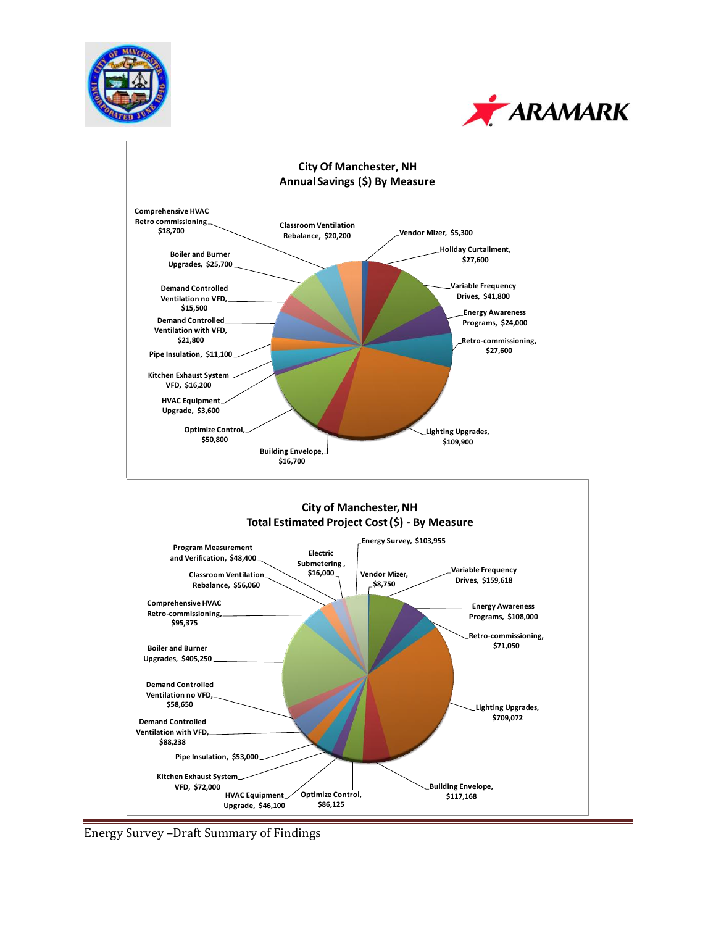





Energy Survey -Draft Summary of Findings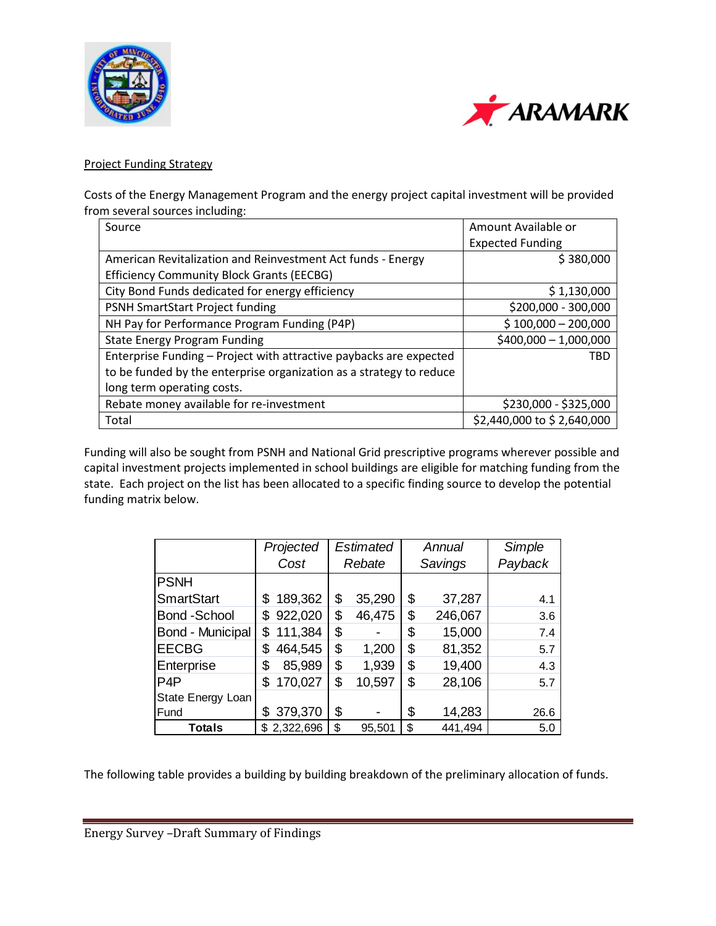



### Project Funding Strategy

Costs of the Energy Management Program and the energy project capital investment will be provided from several sources including:

| Source                                                              | Amount Available or        |
|---------------------------------------------------------------------|----------------------------|
|                                                                     | <b>Expected Funding</b>    |
| American Revitalization and Reinvestment Act funds - Energy         | \$380,000                  |
| <b>Efficiency Community Block Grants (EECBG)</b>                    |                            |
| City Bond Funds dedicated for energy efficiency                     | \$1,130,000                |
| PSNH SmartStart Project funding                                     | \$200,000 - 300,000        |
| NH Pay for Performance Program Funding (P4P)                        | $$100,000 - 200,000$       |
| <b>State Energy Program Funding</b>                                 | $$400,000 - 1,000,000$     |
| Enterprise Funding - Project with attractive paybacks are expected  | <b>TBD</b>                 |
| to be funded by the enterprise organization as a strategy to reduce |                            |
| long term operating costs.                                          |                            |
| Rebate money available for re-investment                            | \$230,000 - \$325,000      |
| Total                                                               | \$2,440,000 to \$2,640,000 |

Funding will also be sought from PSNH and National Grid prescriptive programs wherever possible and capital investment projects implemented in school buildings are eligible for matching funding from the state. Each project on the list has been allocated to a specific finding source to develop the potential funding matrix below.

|                         | Projected     | Estimated    | Annual        | Simple  |  |  |
|-------------------------|---------------|--------------|---------------|---------|--|--|
|                         | Cost          | Rebate       | Savings       | Payback |  |  |
| <b>PSNH</b>             |               |              |               |         |  |  |
| <b>SmartStart</b>       | 189,362<br>\$ | \$<br>35,290 | \$<br>37,287  | 4.1     |  |  |
| <b>Bond</b> - School    | 922,020<br>\$ | \$<br>46,475 | \$<br>246,067 | 3.6     |  |  |
| <b>Bond - Municipal</b> | 111,384<br>S  | \$           | \$<br>15,000  | 7.4     |  |  |
| <b>EECBG</b>            | 464,545<br>\$ | \$<br>1,200  | \$<br>81,352  | 5.7     |  |  |
| Enterprise              | \$<br>85,989  | \$<br>1,939  | \$<br>19,400  | 4.3     |  |  |
| P <sub>4</sub> P        | 170,027<br>\$ | \$<br>10,597 | \$<br>28,106  | 5.7     |  |  |
| State Energy Loan       |               |              |               |         |  |  |
| Fund                    | 379,370<br>\$ | \$           | \$<br>14,283  | 26.6    |  |  |
| Totals                  | \$2,322,696   | \$<br>95,501 | \$<br>441,494 | 5.0     |  |  |

The following table provides a building by building breakdown of the preliminary allocation of funds.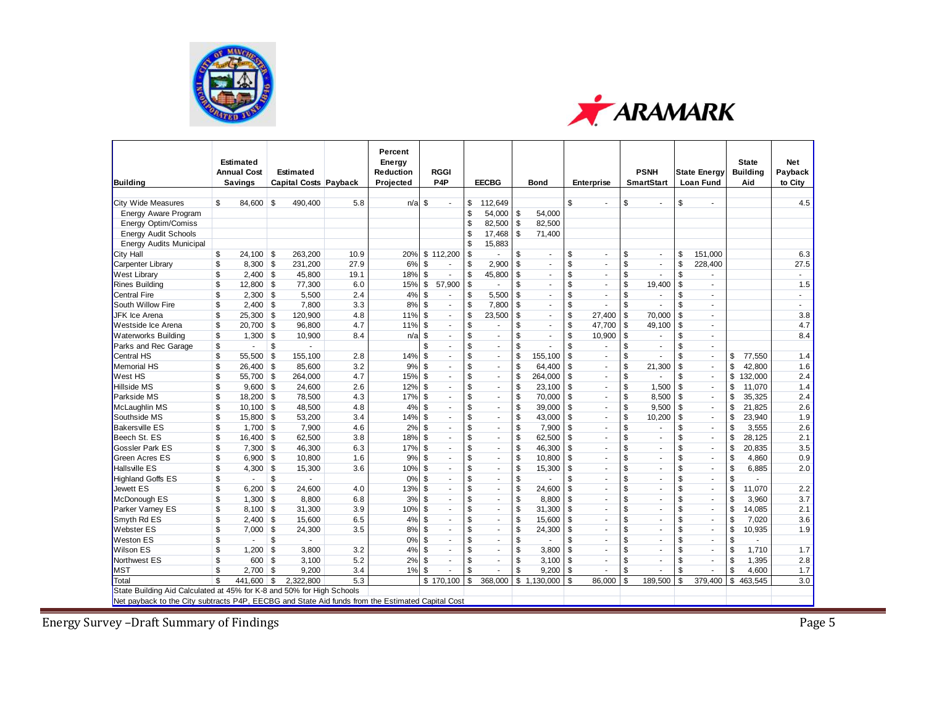



|                                                                                                  | <b>Estimated</b>                     |          |           |                              | Percent<br>Energy      |                                 |                |                             |                           |                |                           |                   |                                  |                |                                         | <b>State</b>           | <b>Net</b>         |
|--------------------------------------------------------------------------------------------------|--------------------------------------|----------|-----------|------------------------------|------------------------|---------------------------------|----------------|-----------------------------|---------------------------|----------------|---------------------------|-------------------|----------------------------------|----------------|-----------------------------------------|------------------------|--------------------|
| <b>Building</b>                                                                                  | <b>Annual Cost</b><br><b>Savings</b> |          | Estimated | <b>Capital Costs Payback</b> | Reduction<br>Projected | <b>RGGI</b><br>P <sub>4</sub> P |                | <b>EECBG</b>                |                           | <b>Bond</b>    |                           | <b>Enterprise</b> | <b>PSNH</b><br><b>SmartStart</b> |                | <b>State Energy</b><br><b>Loan Fund</b> | <b>Building</b><br>Aid | Pavback<br>to City |
|                                                                                                  |                                      |          |           |                              |                        |                                 |                |                             |                           |                |                           |                   |                                  |                |                                         |                        |                    |
| <b>City Wide Measures</b>                                                                        | \$<br>84.600 \$                      |          | 490,400   | 5.8                          | n/a                    | \$                              | \$             | 112,649                     |                           |                | \$                        |                   | \$<br>÷.                         | \$             |                                         |                        | 4.5                |
| Energy Aware Program                                                                             |                                      |          |           |                              |                        |                                 | \$             | 54.000                      | \$                        | 54.000         |                           |                   |                                  |                |                                         |                        |                    |
| <b>Energy Optim/Comiss</b>                                                                       |                                      |          |           |                              |                        |                                 | \$             | 82,500                      | \$                        | 82,500         |                           |                   |                                  |                |                                         |                        |                    |
| <b>Energy Audit Schools</b>                                                                      |                                      |          |           |                              |                        |                                 | \$             | 17,468                      | \$                        | 71,400         |                           |                   |                                  |                |                                         |                        |                    |
| <b>Energy Audits Municipal</b>                                                                   |                                      |          |           |                              |                        |                                 | \$             | 15,883                      |                           |                |                           |                   |                                  |                |                                         |                        |                    |
| City Hall                                                                                        | \$<br>$24,100$ \$                    |          | 263,200   | 10.9                         | 20%                    | \$112,200                       | \$             | $\sim$                      | \$                        | ÷.             | \$                        | ÷.                | \$<br>$\omega$                   | \$             | 151,000                                 |                        | 6.3                |
| Carpenter Library                                                                                | \$<br>$8,300$ \$                     |          | 231,200   | 27.9                         | 6%                     | \$<br>$\sim$                    | \$             | 2,900                       | \$                        | $\blacksquare$ | $\overline{\mathcal{S}}$  |                   | \$<br>$\sim$                     | \$             | 228,400                                 |                        | 27.5               |
| <b>West Library</b>                                                                              | \$<br>$2,400$ \$                     |          | 45,800    | 19.1                         | 18%                    | \$                              | \$             | 45,800                      | \$                        | ÷.             | \$                        |                   | \$                               | \$             |                                         |                        | $\sim$             |
| <b>Rines Building</b>                                                                            | \$<br>$12,800$ \$                    |          | 77,300    | 6.0                          | 15%                    | \$<br>57,900                    | \$             | $\sim$                      | \$                        | $\sim$         | \$                        | ÷.                | \$<br>19,400                     | \$             |                                         |                        | 1.5                |
| <b>Central Fire</b>                                                                              | \$<br>$2,300$ \$                     |          | 5,500     | 2.4                          | 4%                     | \$                              | \$             | 5,500                       | \$                        | ÷.             | S                         |                   | \$                               | \$             |                                         |                        |                    |
| South Willow Fire                                                                                | \$<br>$2,400$ \$                     |          | 7,800     | 3.3                          | 8%                     | \$<br>$\sim$                    | \$             | 7,800                       | \$                        | $\sim$         | \$                        |                   | \$                               | \$             |                                         |                        | ÷.                 |
| <b>JFK Ice Arena</b>                                                                             | \$<br>$25,300$ \$                    |          | 120,900   | 4.8                          | 11%                    | \$<br>$\sim$                    | \$             | 23,500                      | \$                        | ÷.             | \$                        | 27,400            | \$<br>70,000                     | \$             | $\sim$                                  |                        | 3.8                |
| <b>Westside Ice Arena</b>                                                                        | \$<br>$20,700$ \$                    |          | 96,800    | 4.7                          | 11%                    | \$<br>$\sim$                    | \$             | ٠                           | \$                        | $\sim$         | \$                        | 47.700            | \$<br>49,100                     | \$             |                                         |                        | 4.7                |
| <b>Waterworks Building</b>                                                                       | \$<br>$1,300$ \$                     |          | 10,900    | 8.4                          | n/a                    | \$<br>$\sim$                    | \$             | $\sim$                      | \$                        | $\blacksquare$ | \$                        | 10,900            | \$                               | \$             |                                         |                        | 8.4                |
| Parks and Rec Garage                                                                             | \$<br>$\sim$                         | \$       |           |                              |                        | \$                              | \$             | ä,                          | \$                        |                | \$                        |                   | \$<br>÷.                         | \$             | $\sim$                                  |                        |                    |
| Central HS                                                                                       | \$<br>55,500                         | <b>S</b> | 155,100   | 2.8                          | 14%                    | \$<br>÷.                        | \$             | $\mathbf{r}$                | \$                        | 155,100        | \$                        | $\sim$            | \$                               | \$             | $\blacksquare$                          | \$<br>77,550           | 1.4                |
| <b>Memorial HS</b>                                                                               | \$<br>$26,400$ \$                    |          | 85,600    | 3.2                          | 9%                     | \$<br>$\sim$                    | \$             | ÷.                          | \$                        | 64,400         | $\boldsymbol{\mathsf{s}}$ | $\blacksquare$    | \$<br>21,300                     | \$             | $\sim$                                  | 42,800                 | 1.6                |
| <b>West HS</b>                                                                                   | \$<br>55,700 \$                      |          | 264,000   | 4.7                          | 15%                    | \$<br>$\sim$                    | s              | $\blacksquare$              | $\overline{\mathcal{S}}$  | 264,000        | $\mathcal{S}$             |                   | \$<br>$\sim$                     | \$             | $\overline{\phantom{a}}$                | \$<br>132,000          | 2.4                |
| Hillside MS                                                                                      | \$<br>$9.600$ \$                     |          | 24.600    | 2.6                          | 12%                    | \$<br>$\sim$                    | \$             | ÷.                          | \$                        | 23.100         | \$                        | $\sim$            | \$<br>1.500                      | \$             | $\sim$                                  | 11.070                 | 1.4                |
| Parkside MS                                                                                      | \$<br>$18,200$ \$                    |          | 78,500    | 4.3                          | 17%                    | \$<br>$\omega$                  | \$             | $\mathcal{L}^{\mathcal{L}}$ | $\boldsymbol{\mathsf{s}}$ | 70,000         | \$                        | $\sim$            | \$<br>8,500                      | \$             | $\sim$                                  | 35,325                 | 2.4                |
| McLaughlin MS                                                                                    | \$<br>$10,100$ \$                    |          | 48,500    | 4.8                          | 4%                     | \$<br>$\sim$                    | \$             | $\blacksquare$              | \$                        | 39.000         | S                         | $\blacksquare$    | \$<br>9,500                      | \$             | $\overline{\phantom{a}}$                | \$<br>21,825           | 2.6                |
| Southside MS                                                                                     | \$<br>$15,800$ \$                    |          | 53,200    | 3.4                          | 14%                    | \$<br>$\sim$                    | \$             | $\sim$                      | \$                        | 43,000         | S                         |                   | \$<br>10,200                     | \$             | $\sim$                                  | 23,940                 | 1.9                |
| <b>Bakersville ES</b>                                                                            | \$<br>$1,700$ \$                     |          | 7,900     | 4.6                          | 2%                     | \$<br>$\mathcal{L}$             | \$             | $\mathcal{L}$               | \$                        | 7,900          | \$                        | ÷.                | \$<br>i.                         | \$             | $\sim$                                  | 3,555                  | 2.6                |
| Beech St. ES                                                                                     | \$<br>$16,400$ \$                    |          | 62,500    | 3.8                          | 18%                    | \$<br>×.                        | \$             | ÷.                          | \$                        | 62,500         | \$                        |                   | \$<br>÷.                         | \$             | $\sim$                                  | \$<br>28,125           | 2.1                |
| Gossler Park ES                                                                                  | \$<br>$7,300$ \$                     |          | 46,300    | 6.3                          | 17%                    | \$<br>$\sim$                    | \$             | ÷.                          | \$                        | 46,300         | \$                        | $\blacksquare$    | \$<br>$\sim$                     | \$             | $\sim$                                  | 20,835                 | 3.5                |
| Green Acres ES                                                                                   | \$<br>$6,900$ \$                     |          | 10,800    | 1.6                          | 9%                     | \$<br>×.                        | \$             | $\mathcal{L}$               | \$                        | 10,800         | \$                        | ÷.                | \$<br>$\mathcal{L}$              | \$             | $\sim$                                  | 4,860                  | 0.9                |
| <b>Hallsville ES</b>                                                                             | \$<br>$4,300$ \$                     |          | 15,300    | 3.6                          | 10%                    | \$<br>$\sim$                    | \$             | $\sim$                      | \$                        | 15,300         | \$                        | ÷.                | \$<br>$\sim$                     | \$             | $\sim$                                  | \$<br>6,885            | 2.0                |
| <b>Highland Goffs ES</b>                                                                         | \$                                   | \$       |           |                              | 0%                     | \$<br>$\sim$                    | \$             | ×.                          | \$                        |                | \$                        | ÷.                | \$<br>$\sim$                     | \$             | $\sim$                                  |                        |                    |
| Jewett ES                                                                                        | \$<br>6,200                          | \$       | 24,600    | 4.0                          | 13%                    | \$<br>×.                        | \$             | $\sim$                      | \$                        | 24,600         | S                         |                   | \$<br>×.                         | \$             | $\sim$                                  | 11,070                 | 2.2                |
| McDonough ES                                                                                     | \$<br>$1,300$ \$                     |          | 8,800     | 6.8                          | 3%                     | \$<br>ш.                        | \$             | $\sim$                      | \$                        | 8.800          | \$                        |                   | \$<br>$\overline{a}$             | \$             | in 1919.                                | 3,960                  | 3.7                |
| Parker Varney ES                                                                                 | \$<br>$8,100$ \$                     |          | 31,300    | 3.9                          | 10%                    | \$<br>$\sim$                    | \$             | $\mathcal{L}_{\mathcal{A}}$ | \$                        | 31,300         | \$                        | ÷.                | \$<br>$\sim$                     | \$             | $\sim$                                  | 14,085                 | 2.1                |
| Smyth Rd ES                                                                                      | \$<br>$2,400$ \$                     |          | 15,600    | 6.5                          | 4%                     | \$<br>$\sim$                    | s              | $\sim$                      | $\overline{\mathcal{S}}$  | 15,600         | S                         | $\sim$            | \$<br>÷.                         | $\mathfrak{s}$ | $\sim$                                  | 7,020                  | 3.6                |
| <b>Webster ES</b>                                                                                | \$<br>$7,000$ \$                     |          | 24,300    | 3.5                          | 8%                     | \$<br>$\sim$                    | \$             | ÷.                          | \$                        | 24,300         | S                         |                   | \$<br>÷.                         | \$             | $\sim$                                  | 10,935                 | 1.9                |
| <b>Weston ES</b>                                                                                 | \$<br>$\sim$                         | \$       | $\sim$    |                              | 0%                     | \$<br>$\sim$                    | \$             | $\sim$                      | \$                        | ÷.             | \$                        | $\blacksquare$    | \$<br>$\sim$                     | \$             | $\sim$                                  | $\sim$                 |                    |
| <b>Wilson ES</b>                                                                                 | \$<br>$1.200$ \$                     |          | 3,800     | 3.2                          | 4%                     | \$<br>$\sim$                    | $\mathfrak{s}$ | ÷.                          | \$                        | 3,800          | \$                        |                   | \$                               | $\mathfrak{s}$ | $\sim$                                  | 1,710                  | 1.7                |
| Northwest ES                                                                                     | \$<br>600                            | l \$     | 3,100     | 5.2                          | 2%                     | \$<br>$\sim$                    | \$             | ٠                           | \$                        | 3,100          | \$                        |                   | \$<br>$\sim$                     | \$             | $\sim$                                  | 1,395                  | 2.8                |
| <b>MST</b>                                                                                       | \$<br>$2,700$ \$                     |          | 9,200     | 3.4                          | 1%                     | \$                              | $\mathfrak{s}$ | ÷,                          | $\mathfrak s$             | 9,200          | \$                        |                   | \$<br>÷.                         | \$             |                                         | \$<br>4,600            | 1.7                |
| Total                                                                                            | \$<br>441.600                        | \$       | 2.322.800 | 5.3                          |                        | \$170.100                       | \$             | 368,000                     |                           | \$1.130.000    | $\mathbf{s}$              | 86,000            | \$<br>189.500                    | \$             | 379.400                                 | \$<br>463.545          | $\overline{3.0}$   |
| State Building Aid Calculated at 45% for K-8 and 50% for High Schools                            |                                      |          |           |                              |                        |                                 |                |                             |                           |                |                           |                   |                                  |                |                                         |                        |                    |
| Net payback to the City subtracts P4P, EECBG and State Aid funds from the Estimated Capital Cost |                                      |          |           |                              |                        |                                 |                |                             |                           |                |                           |                   |                                  |                |                                         |                        |                    |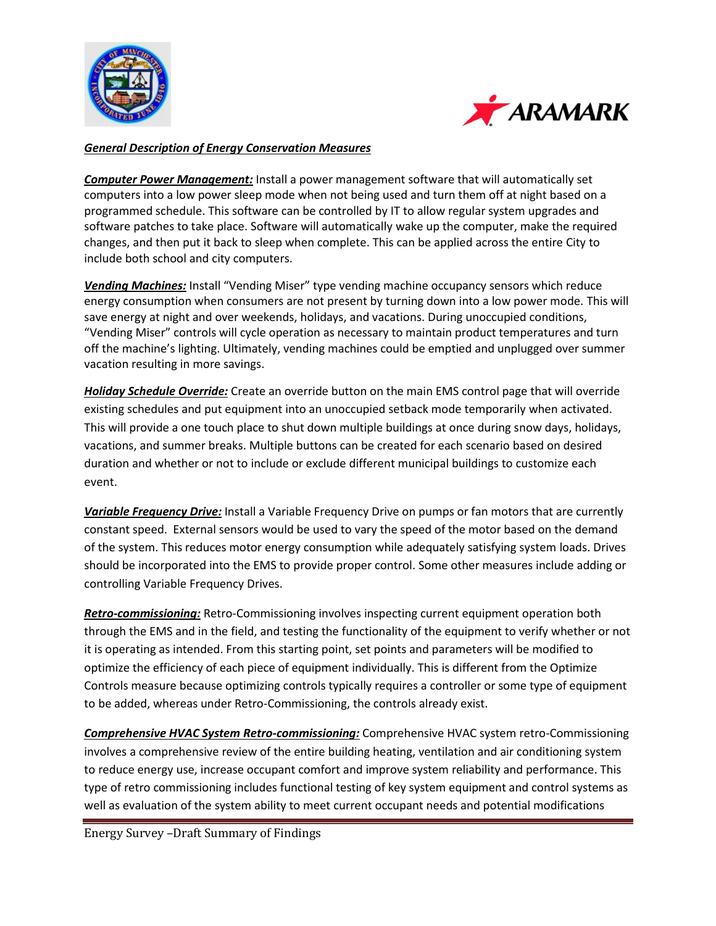



#### *General Description of Energy Conservation Measures*

*Computer Power Management:* Install a power management software that will automatically set computers into a low power sleep mode when not being used and turn them off at night based on a programmed schedule. This software can be controlled by IT to allow regular system upgrades and software patches to take place. Software will automatically wake up the computer, make the required changes, and then put it back to sleep when complete. This can be applied across the entire City to include both school and city computers.

*Vending Machines:* Install "Vending Miser" type vending machine occupancy sensors which reduce energy consumption when consumers are not present by turning down into a low power mode. This will save energy at night and over weekends, holidays, and vacations. During unoccupied conditions, "Vending Miser" controls will cycle operation as necessary to maintain product temperatures and turn off the machine's lighting. Ultimately, vending machines could be emptied and unplugged over summer vacation resulting in more savings.

*Holiday Schedule Override:* Create an override button on the main EMS control page that will override existing schedules and put equipment into an unoccupied setback mode temporarily when activated. This will provide a one touch place to shut down multiple buildings at once during snow days, holidays, vacations, and summer breaks. Multiple buttons can be created for each scenario based on desired duration and whether or not to include or exclude different municipal buildings to customize each event.

*Variable Frequency Drive:* Install a Variable Frequency Drive on pumps or fan motors that are currently constant speed. External sensors would be used to vary the speed of the motor based on the demand of the system. This reduces motor energy consumption while adequately satisfying system loads. Drives should be incorporated into the EMS to provide proper control. Some other measures include adding or controlling Variable Frequency Drives.

*Retro-commissioning:* Retro-Commissioning involves inspecting current equipment operation both through the EMS and in the field, and testing the functionality of the equipment to verify whether or not it is operating as intended. From this starting point, set points and parameters will be modified to optimize the efficiency of each piece of equipment individually. This is different from the Optimize Controls measure because optimizing controls typically requires a controller or some type of equipment to be added, whereas under Retro-Commissioning, the controls already exist.

*Comprehensive HVAC System Retro-commissioning:* Comprehensive HVAC system retro-Commissioning involves a comprehensive review of the entire building heating, ventilation and air conditioning system to reduce energy use, increase occupant comfort and improve system reliability and performance. This type of retro commissioning includes functional testing of key system equipment and control systems as well as evaluation of the system ability to meet current occupant needs and potential modifications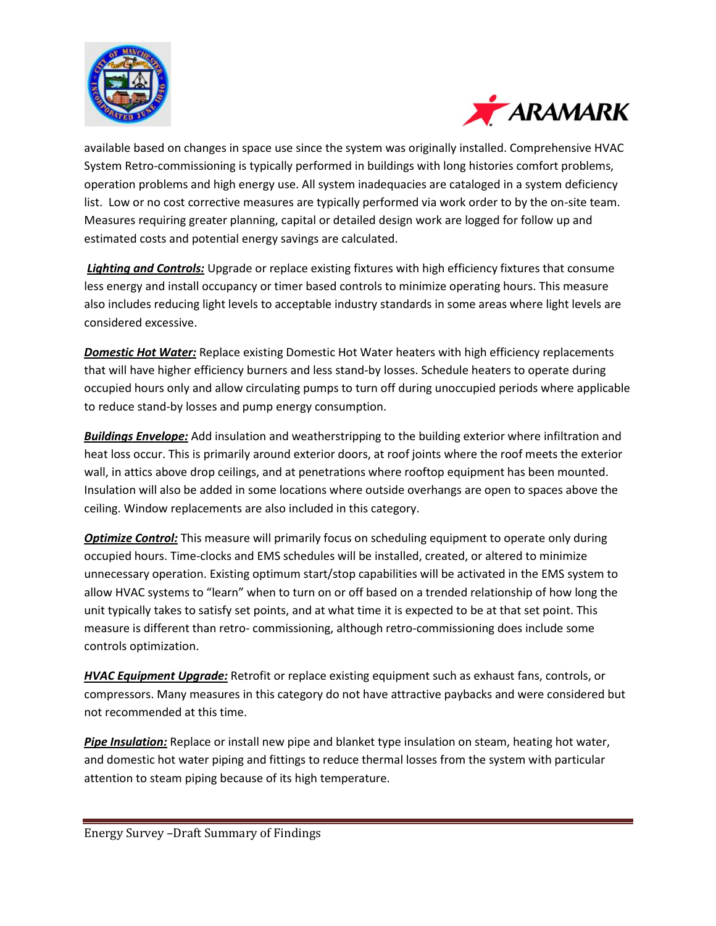



available based on changes in space use since the system was originally installed. Comprehensive HVAC System Retro-commissioning is typically performed in buildings with long histories comfort problems, operation problems and high energy use. All system inadequacies are cataloged in a system deficiency list. Low or no cost corrective measures are typically performed via work order to by the on-site team. Measures requiring greater planning, capital or detailed design work are logged for follow up and estimated costs and potential energy savings are calculated.

*Lighting and Controls:* Upgrade or replace existing fixtures with high efficiency fixtures that consume less energy and install occupancy or timer based controls to minimize operating hours. This measure also includes reducing light levels to acceptable industry standards in some areas where light levels are considered excessive.

*Domestic Hot Water:* Replace existing Domestic Hot Water heaters with high efficiency replacements that will have higher efficiency burners and less stand-by losses. Schedule heaters to operate during occupied hours only and allow circulating pumps to turn off during unoccupied periods where applicable to reduce stand-by losses and pump energy consumption.

*Buildings Envelope:* Add insulation and weatherstripping to the building exterior where infiltration and heat loss occur. This is primarily around exterior doors, at roof joints where the roof meets the exterior wall, in attics above drop ceilings, and at penetrations where rooftop equipment has been mounted. Insulation will also be added in some locations where outside overhangs are open to spaces above the ceiling. Window replacements are also included in this category.

**Optimize Control:** This measure will primarily focus on scheduling equipment to operate only during occupied hours. Time-clocks and EMS schedules will be installed, created, or altered to minimize unnecessary operation. Existing optimum start/stop capabilities will be activated in the EMS system to allow HVAC systems to "learn" when to turn on or off based on a trended relationship of how long the unit typically takes to satisfy set points, and at what time it is expected to be at that set point. This measure is different than retro- commissioning, although retro-commissioning does include some controls optimization.

*HVAC Equipment Upgrade:* Retrofit or replace existing equipment such as exhaust fans, controls, or compressors. Many measures in this category do not have attractive paybacks and were considered but not recommended at this time.

*Pipe Insulation:* Replace or install new pipe and blanket type insulation on steam, heating hot water, and domestic hot water piping and fittings to reduce thermal losses from the system with particular attention to steam piping because of its high temperature.